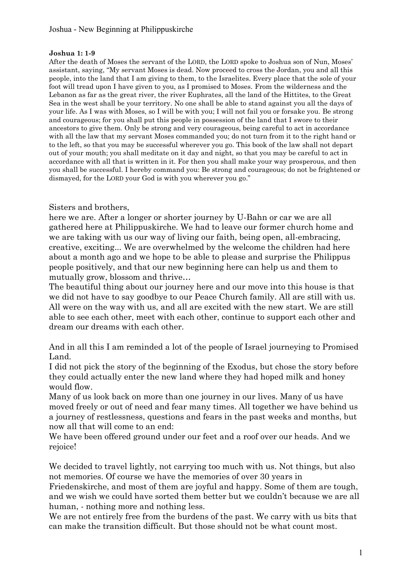## **Joshua 1: 1-9**

After the death of Moses the servant of the LORD, the LORD spoke to Joshua son of Nun, Moses" assistant, saying, "My servant Moses is dead. Now proceed to cross the Jordan, you and all this people, into the land that I am giving to them, to the Israelites. Every place that the sole of your foot will tread upon I have given to you, as I promised to Moses. From the wilderness and the Lebanon as far as the great river, the river Euphrates, all the land of the Hittites, to the Great Sea in the west shall be your territory. No one shall be able to stand against you all the days of your life. As I was with Moses, so I will be with you; I will not fail you or forsake you. Be strong and courageous; for you shall put this people in possession of the land that I swore to their ancestors to give them. Only be strong and very courageous, being careful to act in accordance with all the law that my servant Moses commanded you; do not turn from it to the right hand or to the left, so that you may be successful wherever you go. This book of the law shall not depart out of your mouth; you shall meditate on it day and night, so that you may be careful to act in accordance with all that is written in it. For then you shall make your way prosperous, and then you shall be successful. I hereby command you: Be strong and courageous; do not be frightened or dismayed, for the LORD your God is with you wherever you go."

## Sisters and brothers,

here we are. After a longer or shorter journey by U-Bahn or car we are all gathered here at Philippuskirche. We had to leave our former church home and we are taking with us our way of living our faith, being open, all-embracing, creative, exciting... We are overwhelmed by the welcome the children had here about a month ago and we hope to be able to please and surprise the Philippus people positively, and that our new beginning here can help us and them to mutually grow, blossom and thrive…

The beautiful thing about our journey here and our move into this house is that we did not have to say goodbye to our Peace Church family. All are still with us. All were on the way with us, and all are excited with the new start. We are still able to see each other, meet with each other, continue to support each other and dream our dreams with each other.

And in all this I am reminded a lot of the people of Israel journeying to Promised Land.

I did not pick the story of the beginning of the Exodus, but chose the story before they could actually enter the new land where they had hoped milk and honey would flow.

Many of us look back on more than one journey in our lives. Many of us have moved freely or out of need and fear many times. All together we have behind us a journey of restlessness, questions and fears in the past weeks and months, but now all that will come to an end:

We have been offered ground under our feet and a roof over our heads. And we rejoice!

We decided to travel lightly, not carrying too much with us. Not things, but also not memories. Of course we have the memories of over 30 years in

Friedenskirche, and most of them are joyful and happy. Some of them are tough, and we wish we could have sorted them better but we couldn"t because we are all human, - nothing more and nothing less.

We are not entirely free from the burdens of the past. We carry with us bits that can make the transition difficult. But those should not be what count most.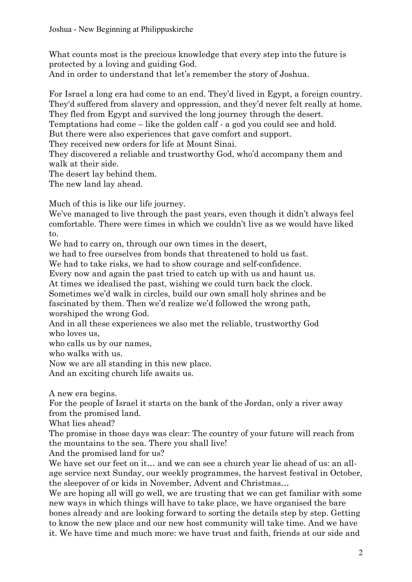What counts most is the precious knowledge that every step into the future is protected by a loving and guiding God.

And in order to understand that let's remember the story of Joshua.

For Israel a long era had come to an end. They"d lived in Egypt, a foreign country. They"d suffered from slavery and oppression, and they"d never felt really at home. They fled from Egypt and survived the long journey through the desert.

Temptations had come – like the golden calf - a god you could see and hold.

But there were also experiences that gave comfort and support.

They received new orders for life at Mount Sinai.

They discovered a reliable and trustworthy God, who"d accompany them and walk at their side.

The desert lay behind them.

The new land lay ahead.

Much of this is like our life journey.

We've managed to live through the past years, even though it didn't always feel comfortable. There were times in which we couldn"t live as we would have liked to.

We had to carry on, through our own times in the desert,

we had to free ourselves from bonds that threatened to hold us fast.

We had to take risks, we had to show courage and self-confidence.

Every now and again the past tried to catch up with us and haunt us.

At times we idealised the past, wishing we could turn back the clock.

Sometimes we"d walk in circles, build our own small holy shrines and be fascinated by them. Then we'd realize we'd followed the wrong path,

worshiped the wrong God.

And in all these experiences we also met the reliable, trustworthy God who loves us,

who calls us by our names,

who walks with us.

Now we are all standing in this new place.

And an exciting church life awaits us.

A new era begins.

For the people of Israel it starts on the bank of the Jordan, only a river away from the promised land.

What lies ahead?

The promise in those days was clear: The country of your future will reach from the mountains to the sea. There you shall live!

And the promised land for us?

We have set our feet on it... and we can see a church year lie ahead of us: an allage service next Sunday, our weekly programmes, the harvest festival in October, the sleepover of or kids in November, Advent and Christmas…

We are hoping all will go well, we are trusting that we can get familiar with some new ways in which things will have to take place, we have organised the bare bones already and are looking forward to sorting the details step by step. Getting to know the new place and our new host community will take time. And we have it. We have time and much more: we have trust and faith, friends at our side and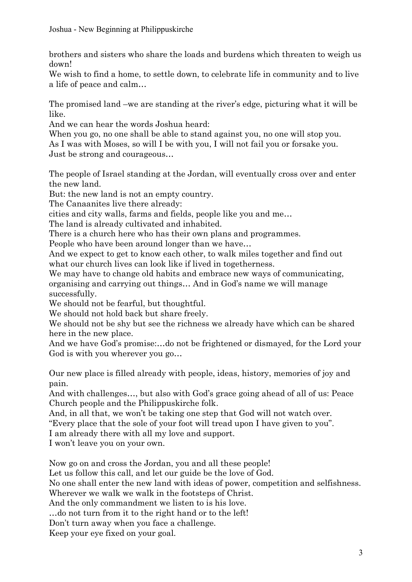brothers and sisters who share the loads and burdens which threaten to weigh us down!

We wish to find a home, to settle down, to celebrate life in community and to live a life of peace and calm…

The promised land –we are standing at the river's edge, picturing what it will be like.

And we can hear the words Joshua heard:

When you go, no one shall be able to stand against you, no one will stop you. As I was with Moses, so will I be with you, I will not fail you or forsake you. Just be strong and courageous…

The people of Israel standing at the Jordan, will eventually cross over and enter the new land.

But: the new land is not an empty country.

The Canaanites live there already:

cities and city walls, farms and fields, people like you and me…

The land is already cultivated and inhabited.

There is a church here who has their own plans and programmes.

People who have been around longer than we have…

And we expect to get to know each other, to walk miles together and find out what our church lives can look like if lived in togetherness.

We may have to change old habits and embrace new ways of communicating, organising and carrying out things… And in God"s name we will manage successfully.

We should not be fearful, but thoughtful.

We should not hold back but share freely.

We should not be shy but see the richness we already have which can be shared here in the new place.

And we have God"s promise:…do not be frightened or dismayed, for the Lord your God is with you wherever you go…

Our new place is filled already with people, ideas, history, memories of joy and pain.

And with challenges..., but also with God's grace going ahead of all of us: Peace Church people and the Philippuskirche folk.

And, in all that, we won't be taking one step that God will not watch over.

"Every place that the sole of your foot will tread upon I have given to you".

I am already there with all my love and support.

I won"t leave you on your own.

Now go on and cross the Jordan, you and all these people!

Let us follow this call, and let our guide be the love of God.

No one shall enter the new land with ideas of power, competition and selfishness. Wherever we walk we walk in the footsteps of Christ.

And the only commandment we listen to is his love.

…do not turn from it to the right hand or to the left!

Don"t turn away when you face a challenge.

Keep your eye fixed on your goal.